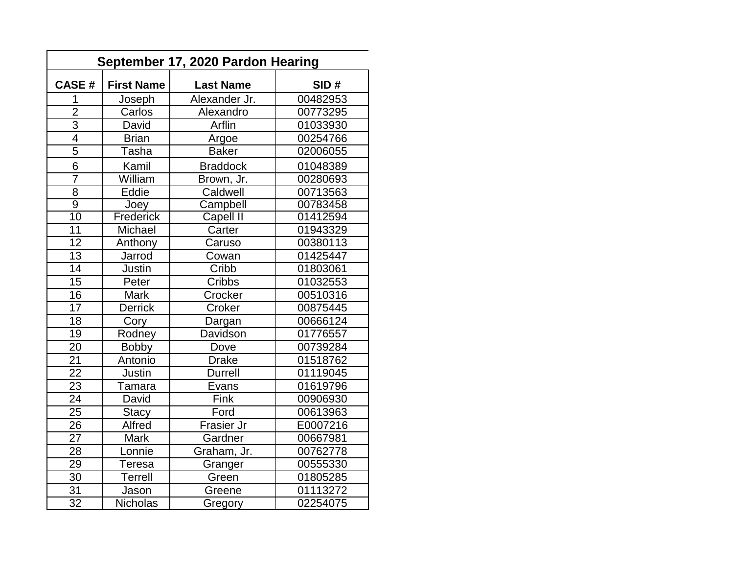| <b>CASE#</b>    | <b>First Name</b> | <b>Last Name</b> | SID#     |
|-----------------|-------------------|------------------|----------|
| 1               | Joseph            | Alexander Jr.    | 00482953 |
| $\overline{2}$  | Carlos            | Alexandro        | 00773295 |
| $\overline{3}$  | David             | Arflin           | 01033930 |
| $\overline{4}$  | <b>Brian</b>      | Argoe            | 00254766 |
| $\overline{5}$  | Tasha             | <b>Baker</b>     | 02006055 |
| $6\phantom{1}$  | Kamil             | <b>Braddock</b>  | 01048389 |
| 7               | William           | Brown, Jr.       | 00280693 |
| $\overline{8}$  | Eddie             | Caldwell         | 00713563 |
| $\overline{9}$  | Joey              | Campbell         | 00783458 |
| 10              | Frederick         | <b>Capell II</b> | 01412594 |
| 11              | Michael           | Carter           | 01943329 |
| $\overline{12}$ | Anthony           | Caruso           | 00380113 |
| 13              | Jarrod            | Cowan            | 01425447 |
| $\overline{14}$ | <b>Justin</b>     | Cribb            | 01803061 |
| $\overline{15}$ | Peter             | Cribbs           | 01032553 |
| 16              | <b>Mark</b>       | Crocker          | 00510316 |
| 17              | <b>Derrick</b>    | Croker           | 00875445 |
| 18              | Cory              | Dargan           | 00666124 |
| 19              | Rodney            | Davidson         | 01776557 |
| 20              | <b>Bobby</b>      | Dove             | 00739284 |
| $\overline{21}$ | Antonio           | <b>Drake</b>     | 01518762 |
| $\overline{22}$ | <b>Justin</b>     | <b>Durrell</b>   | 01119045 |
| $\overline{23}$ | Tamara            | Evans            | 01619796 |
| 24              | David             | Fink             | 00906930 |
| $\overline{25}$ | <b>Stacy</b>      | Ford             | 00613963 |
| 26              | Alfred            | Frasier Jr       | E0007216 |
| $\overline{27}$ | <b>Mark</b>       | Gardner          | 00667981 |
| $\overline{28}$ | Lonnie            | Graham, Jr.      | 00762778 |
| 29              | Teresa            | Granger          | 00555330 |
| $\overline{30}$ | <b>Terrell</b>    | Green            | 01805285 |
| 31              | Jason             | Greene           | 01113272 |
| 32              | <b>Nicholas</b>   | Gregory          | 02254075 |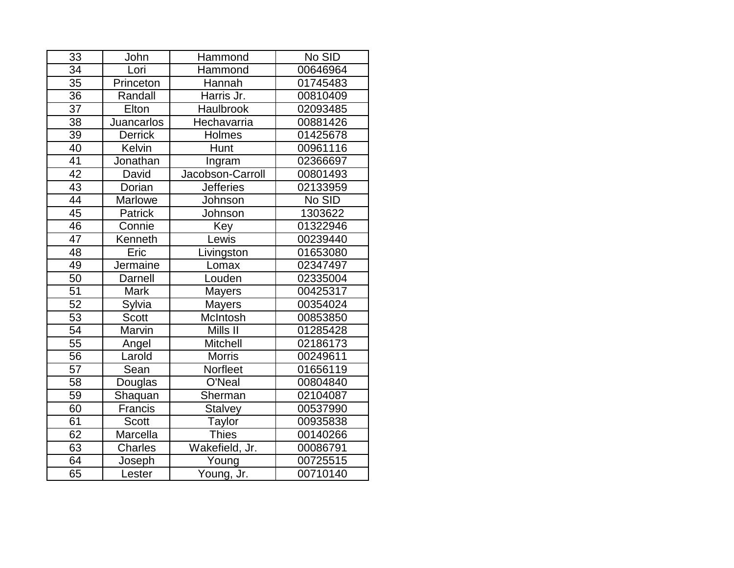| 33              | John           | Hammond          | No SID   |
|-----------------|----------------|------------------|----------|
| $\overline{34}$ | Lori           | Hammond          | 00646964 |
| 35              | Princeton      | Hannah           | 01745483 |
| $\overline{36}$ | Randall        | Harris Jr.       | 00810409 |
| 37              | Elton          | Haulbrook        | 02093485 |
| $\overline{38}$ | Juancarlos     | Hechavarria      | 00881426 |
| $\overline{39}$ | <b>Derrick</b> | Holmes           | 01425678 |
| $\overline{40}$ | Kelvin         | Hunt             | 00961116 |
| 41              | Jonathan       | Ingram           | 02366697 |
| $\overline{42}$ | David          | Jacobson-Carroll | 00801493 |
| 43              | Dorian         | <b>Jefferies</b> | 02133959 |
| 44              | <b>Marlowe</b> | Johnson          | No SID   |
| 45              | Patrick        | Johnson          | 1303622  |
| 46              | Connie         | Key              | 01322946 |
| 47              | Kenneth        | Lewis            | 00239440 |
| $\overline{48}$ | Eric           | Livingston       | 01653080 |
| 49              | Jermaine       | Lomax            | 02347497 |
| 50              | Darnell        | Louden           | 02335004 |
| $\overline{51}$ | <b>Mark</b>    | <b>Mayers</b>    | 00425317 |
| $\overline{52}$ | Sylvia         | <b>Mayers</b>    | 00354024 |
| 53              | <b>Scott</b>   | McIntosh         | 00853850 |
| $\overline{54}$ | Marvin         | Mills II         | 01285428 |
| 55              | Angel          | Mitchell         | 02186173 |
| 56              | Larold         | <b>Morris</b>    | 00249611 |
| $\overline{57}$ | Sean           | Norfleet         | 01656119 |
| 58              | Douglas        | O'Neal           | 00804840 |
| $\overline{59}$ | Shaquan        | Sherman          | 02104087 |
| 60              | Francis        | Stalvey          | 00537990 |
| 61              | Scott          | Taylor           | 00935838 |
| 62              | Marcella       | <b>Thies</b>     | 00140266 |
| 63              | Charles        | Wakefield, Jr.   | 00086791 |
| 64              | Joseph         | Young            | 00725515 |
| 65              | Lester         | Young, Jr.       | 00710140 |